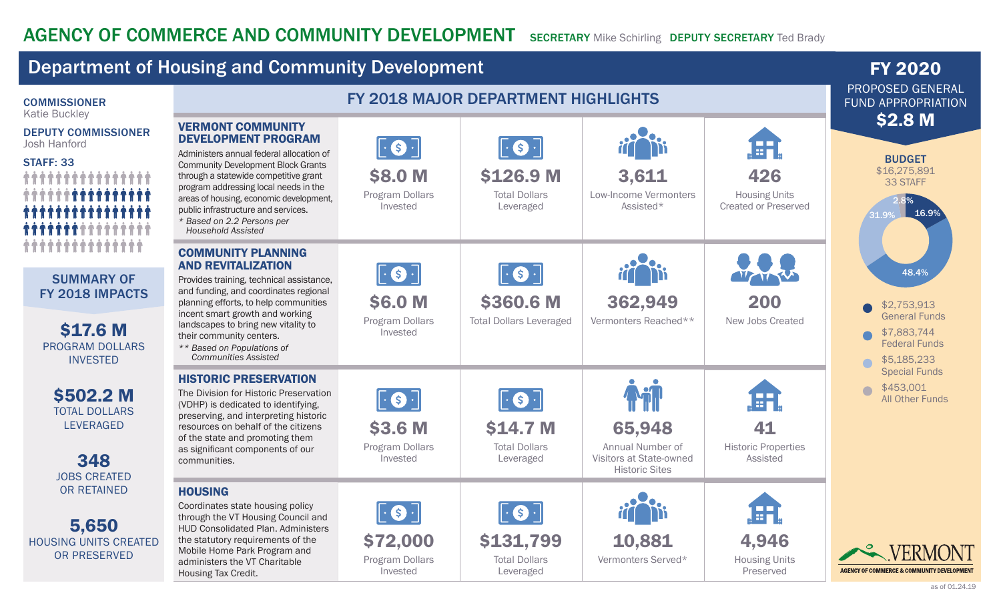Invested

administers the VT Charitable

Housing Tax Credit.

## Department of Housing and Community Development **FY 2020 FY 2020** PROPOSED GENERAL COMMISSIONER FY 2018 MAJOR DEPARTMENT HIGHLIGHTS FUND APPROPRIATION Katie Buckley **\$2.8 M** VERMONT COMMUNITY DEPUTY COMMISSIONER DEVELOPMENT PROGRAM Œ Josh Hanford  $|\cdot$   $\bullet$   $\cdot|$  $|\cdot$  S  $\cdot|$ Administers annual federal allocation of BUDGET STAFF: 33 Community Development Block Grants \$16,275,891 \$8.0 M \$126.9 M 3,611 426 through a statewide competitive grant 33 STAFF program addressing local needs in the Program Dollars Total Dollars Low-Income Vermonters Housing Units areas of housing, economic development, 2.8% Assisted\* Created or Preserved Invested Leveraged public infrastructure and services. 16.9% 31.9% *\* Based on 2.2 Persons per Household Assisted ^^^^^^^^^^^^^^^^^^^^* COMMUNITY PLANNING AND REVITALIZATION  $|\cdot$   $\bullet$   $\cdot$  $|\cdot$  (s)  $\cdot|$ 48.4% WWW SUMMARY OF Provides training, technical assistance, and funding, and coordinates regional FY 2018 IMPACTS \$6.0 M \$360.6 M 362,949 200 planning efforts, to help communities \$2,753,913 incent smart growth and working General Funds Program Dollars Total Dollars Leveraged Vermonters Reached\*\* New Jobs Created landscapes to bring new vitality to \$17.6 M Invested \$7,883,744 their community centers. Federal Funds PROGRAM DOLLARS *\*\* Based on Populations of Communities Assisted* INVESTED \$5,185,233 Special Funds HISTORIC PRESERVATION \$453,001  $\sqrt{2}$ \$502.2 M The Division for Historic Preservation Œ  $|\cdot$   $\bullet$   $\cdot$  $|\cdot$   $\cdot$   $|\cdot|$ All Other Funds (VDHP) is dedicated to identifying, TOTAL DOLLARS preserving, and interpreting historic LEVERAGED \$3.6 M resources on behalf of the citizens \$14.7 M 65,948 41 of the state and promoting them Program Dollars Total Dollars Historic Properties Annual Number of as significant components of our 348 Invested Leveraged Visitors at State-owned Assisted communities. Historic Sites JOBS CREATED OR RETAINED **HOUSING** Coordinates state housing policy  $\cdot$  (\$)  $\cdot$  $|\cdot$  S through the VT Housing Council and 5,650 HUD Consolidated Plan. Administers \$72,000 \$131,799 4,946 the statutory requirements of the 10,881 HOUSING UNITS CREATED Mobile Home Park Program and OR PRESERVED Housing Units Program Dollars Total Dollars Vermonters Served\*

Leveraged

**AGENCY OF COMMERCE & COMMUNITY DEVELOPMENT** 

Preserved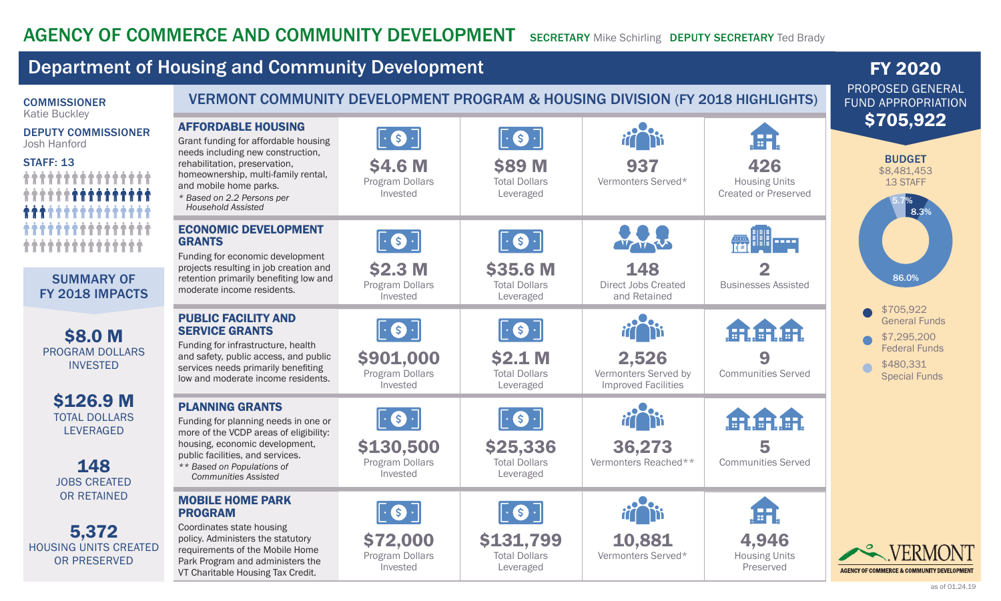## Department of Housing and Community Development **FY 2020 FY 2020** PROPOSED GENERAL COMMISSIONER VERMONT COMMUNITY DEVELOPMENT PROGRAM & HOUSING DIVISION (FY 2018 HIGHLIGHTS) FUND APPROPRIATION Katie Buckley \$705,922 AFFORDABLE HOUSING DEPUTY COMMISSIONER  $|\cdot$   $\bullet$   $\cdot$  $|\cdot$   $\odot$   $\cdot|$ 田 Grant funding for affordable housing Josh Hanford needs including new construction, BUDGET STAFF: 13 rehabilitation, preservation, \$4.6 M **\$89 M** 426 937 \$8,481,453 *<u><i><u><b>↑↑↑↑↑↑↑↑↑↑↑↑</u>*</u> homeownership, multi-family rental, Total Dollars Program Dollars Vermonters Served\* Housing Units 13 STAFF and mobile home parks. Invested Leveraged Created or Preserved *\* Based on 2.2 Persons per*  5.7%*Household Assisted* 8.3% ECONOMIC DEVELOPMENT  $|\cdot$  (s)  $\cdot$  $|\cdot$  S  $\cdot|$ **KAN BIB** prod GRANTS *^^^^^^^^^^^^^^^^^^^^* **VZYAV** Funding for economic development \$2.3 M \$35.6 M 148 2 projects resulting in job creation and SUMMARY OF 86.0% retention primarily benefiting low and Program Dollars Total Dollars Direct Jobs Created Businesses Assisted moderate income residents. FY 2018 IMPACTS Invested and Retained Leveraged \$705,922 PUBLIC FACILITY AND General Funds  $\cdot$  (\$).  $|\cdot$   $\bullet$   $\cdot|$ SERVICE GRANTS 農業 ÆR \$8.0 M \$7,295,200 Funding for infrastructure, health Federal Funds PROGRAM DOLLARS and safety, public access, and public \$901,000 \$2.1 M 2,526 9 \$480,331 INVESTED services needs primarily benefiting Program Dollars Total Dollars Vermonters Served by Communities Served Special Funds low and moderate income residents. Invested Leveraged Improved Facilities \$126.9 M PLANNING GRANTS TOTAL DOLLARS  $|\cdot$  (s)  $\cdot$ S **品品品** Funding for planning needs in one or LEVERAGED more of the VCDP areas of eligibility: housing, economic development, \$130,500 \$25,336 36,273 5 public facilities, and services. Program Dollars Total Dollars Vermonters Reached\*\* Communities Served 148 *\*\* Based on Populations of*  Invested Leveraged *Communities Assisted* JOBS CREATED OR RETAINED MOBILE HOME PARK S  $|\cdot|$ S Æ PROGRAM Coordinates state housing 5,372 \$72,000 \$131,799 10,881 4,946 policy. Administers the statutory HOUSING UNITS CREATED requirements of the Mobile Home Vermonters Served\* Program Dollars Total Dollars Housing Units OR PRESERVED Park Program and administers the Invested Preserved Leveraged **AGENCY OF COMMERCE & COMMUNITY DEVELOPMENT** VT Charitable Housing Tax Credit.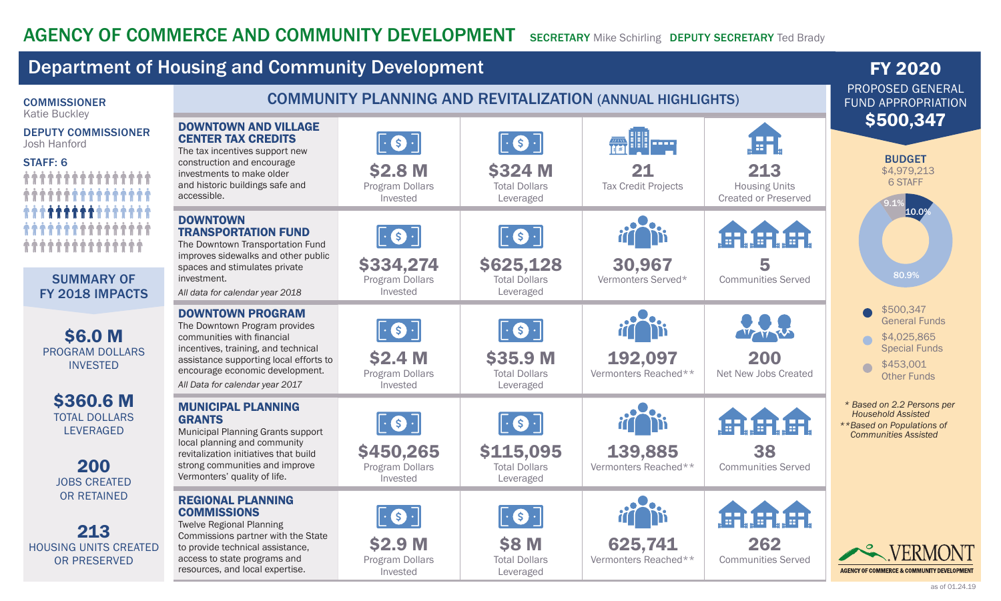# AGENCY OF COMMERCE AND COMMUNITY DEVELOPMENT SECRETARY Mike Schirling DEPUTY SECRETARY Ted Brady

### Department of Housing and Community Development **FY 2020 FY 2020** PROPOSED GENERAL COMMISSIONER COMMUNITY PLANNING AND REVITALIZATION (ANNUAL HIGHLIGHTS) FUND APPROPRIATION Katie Buckley \$500,347 DOWNTOWN AND VILLAGE DEPUTY COMMISSIONER ÆH CENTER TAX CREDITS  $|\cdot$   $\bullet$   $\cdot$  $|\cdot$   $\cdot$   $|\cdot|$ **AS III prod** Josh Hanford The tax incentives support new BUDGET STAFF: 6 construction and encourage \$2.8 M \$324 M 21 213 \$4,979,213 investments to make older *^^^^^^^^^^^^^^^^^^^^* 6 STAFF and historic buildings safe and Program Dollars Total Dollars Housing Units Tax Credit Projects accessible. Invested Leveraged Created or Preserved 9.1%*^^^^^^^^^^^^^^^^* 10.0% DOWNTOWN TRANSPORTATION FUND  $|\cdot$   $\bullet$   $\cdot$  $|\cdot$  (s)  $\cdot|$ ISA *^^^^^^^^^^^^^^^^^^^^* The Downtown Transportation Fund improves sidewalks and other public 30,967 \$334,274 \$625,128 5 spaces and stimulates private 80.9% SUMMARY OF investment. Program Dollars Total Dollars Vermonters Served\* Communities Served Invested Leveraged FY 2018 IMPACTS *All data for calendar year 2018* \$500,347 DOWNTOWN PROGRAM General Funds The Downtown Program provides  $|\cdot$  S  $\cdot|$  $\bullet$ \$6.0 M VZVYV communities with financial \$4,025,865 incentives, training, and technical Special Funds PROGRAM DOLLARS \$2.4 M \$35.9 M 192,097 200 assistance supporting local efforts to \$453,001 INVESTED  $\sqrt{2}$ encourage economic development. Program Dollars Total Dollars Vermonters Reached\*\* Net New Jobs Created Other Funds *All Data for calendar year 2017*  Invested Leveraged \$360.6 M *\* Based on 2.2 Persons per*  MUNICIPAL PLANNING *Household Assisted*  TOTAL DOLLARS GRANTS  $|\cdot$   $\cdot$   $|\cdot|$  $|\cdot$  (\$)  $\cdot$ *\*\*Based on Populations of*  LEVERAGED Municipal Planning Grants support *Communities Assisted* local planning and community \$115,095 \$450,265 139,885 38 revitalization initiatives that build 200 strong communities and improve Vermonters Reached\*\* Program Dollars Total Dollars Communities Served Vermonters' quality of life. Invested Leveraged JOBS CREATED OR RETAINED REGIONAL PLANNING **COMMISSIONS** S  $\left($ S $\right)$ Twelve Regional Planning 213 Commissions partner with the State \$2.9 M \$8 M 262 625,741 HOUSING UNITS CREATED to provide technical assistance, access to state programs and Program Dollars Total Dollars Vermonters Reached\*\* Communities Served OR PRESERVED resources, and local expertise. **AGENCY OF COMMERCE & COMMUNITY DEVELOPMENT** Invested Leveraged